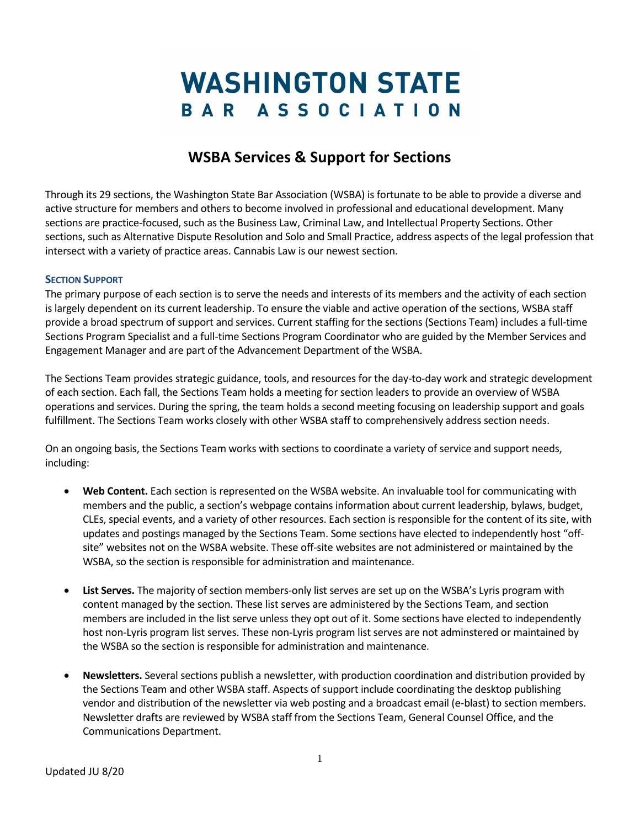## **WASHINGTON STATE** BAR ASSOCIATION

## **WSBA Services & Support for Sections**

Through its 29 sections, the Washington State Bar Association (WSBA) is fortunate to be able to provide a diverse and active structure for members and others to become involved in professional and educational development. Many sections are practice-focused, such as the Business Law, Criminal Law, and Intellectual Property Sections. Other sections, such as Alternative Dispute Resolution and Solo and Small Practice, address aspects of the legal profession that intersect with a variety of practice areas. Cannabis Law is our newest section.

## **SECTION SUPPORT**

The primary purpose of each section is to serve the needs and interests of its members and the activity of each section is largely dependent on its current leadership. To ensure the viable and active operation of the sections, WSBA staff provide a broad spectrum of support and services. Current staffing for the sections (Sections Team) includes a full-time Sections Program Specialist and a full-time Sections Program Coordinator who are guided by the Member Services and Engagement Manager and are part of the Advancement Department of the WSBA.

The Sections Team provides strategic guidance, tools, and resources for the day-to-day work and strategic development of each section. Each fall, the Sections Team holds a meeting for section leaders to provide an overview of WSBA operations and services. During the spring, the team holds a second meeting focusing on leadership support and goals fulfillment. The Sections Team works closely with other WSBA staff to comprehensively address section needs.

On an ongoing basis, the Sections Team works with sections to coordinate a variety of service and support needs, including:

- **Web Content.** Each section is represented on the WSBA website. An invaluable tool for communicating with members and the public, a section's webpage contains information about current leadership, bylaws, budget, CLEs, special events, and a variety of other resources. Each section is responsible for the content of its site, with updates and postings managed by the Sections Team. Some sections have elected to independently host "offsite" websites not on the WSBA website. These off-site websites are not administered or maintained by the WSBA, so the section is responsible for administration and maintenance.
- **List Serves.** The majority of section members-only list serves are set up on the WSBA's Lyris program with content managed by the section. These list serves are administered by the Sections Team, and section members are included in the list serve unless they opt out of it. Some sections have elected to independently host non-Lyris program list serves. These non-Lyris program list serves are not adminstered or maintained by the WSBA so the section is responsible for administration and maintenance.
- **Newsletters.** Several sections publish a newsletter, with production coordination and distribution provided by the Sections Team and other WSBA staff. Aspects of support include coordinating the desktop publishing vendor and distribution of the newsletter via web posting and a broadcast email (e-blast) to section members. Newsletter drafts are reviewed by WSBA staff from the Sections Team, General Counsel Office, and the Communications Department.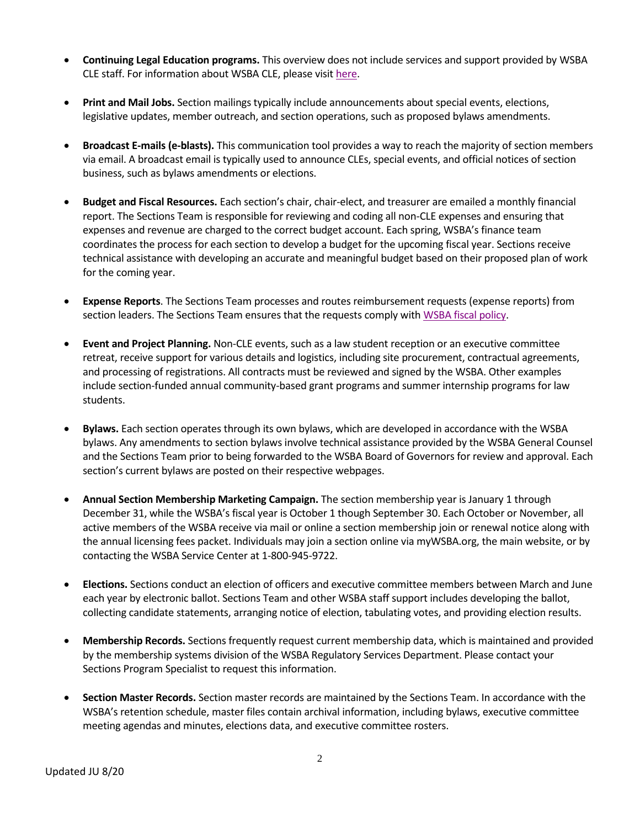- **Continuing Legal Education programs.** This overview does not include services and support provided by WSBA CLE staff. For information about WSBA CLE, please visi[t here.](https://www.wsba.org/for-legal-professionals/wsba-cle/about-wsba-cle)
- **Print and Mail Jobs.** Section mailings typically include announcements about special events, elections, legislative updates, member outreach, and section operations, such as proposed bylaws amendments.
- **Broadcast E-mails (e-blasts).** This communication tool provides a way to reach the majority of section members via email. A broadcast email is typically used to announce CLEs, special events, and official notices of section business, such as bylaws amendments or elections.
- **Budget and Fiscal Resources.** Each section's chair, chair-elect, and treasurer are emailed a monthly financial report. The Sections Team is responsible for reviewing and coding all non-CLE expenses and ensuring that expenses and revenue are charged to the correct budget account. Each spring, WSBA's finance team coordinates the process for each section to develop a budget for the upcoming fiscal year. Sections receive technical assistance with developing an accurate and meaningful budget based on their proposed plan of work for the coming year.
- **Expense Reports**. The Sections Team processes and routes reimbursement requests (expense reports) from section leaders. The Sections Team ensures that the requests comply with [WSBA fiscal policy.](https://www.wsba.org/docs/default-source/legal-community/volunteer/volunteer-toolbox/fiscal-policies-and-procedures.pdf?sfvrsn=107402f1_8)
- **Event and Project Planning.** Non-CLE events, such as a law student reception or an executive committee retreat, receive support for various details and logistics, including site procurement, contractual agreements, and processing of registrations. All contracts must be reviewed and signed by the WSBA. Other examples include section-funded annual community-based grant programs and summer internship programs for law students.
- **Bylaws.** Each section operates through its own bylaws, which are developed in accordance with the WSBA bylaws. Any amendments to section bylaws involve technical assistance provided by the WSBA General Counsel and the Sections Team prior to being forwarded to the WSBA Board of Governors for review and approval. Each section's current bylaws are posted on their respective webpages.
- **Annual Section Membership Marketing Campaign.** The section membership year is January 1 through December 31, while the WSBA's fiscal year is October 1 though September 30. Each October or November, all active members of the WSBA receive via mail or online a section membership join or renewal notice along with the annual licensing fees packet. Individuals may join a section online via myWSBA.org, the main website, or by contacting the WSBA Service Center at 1-800-945-9722.
- **Elections.** Sections conduct an election of officers and executive committee members between March and June each year by electronic ballot. Sections Team and other WSBA staff support includes developing the ballot, collecting candidate statements, arranging notice of election, tabulating votes, and providing election results.
- **Membership Records.** Sections frequently request current membership data, which is maintained and provided by the membership systems division of the WSBA Regulatory Services Department. Please contact your Sections Program Specialist to request this information.
- **Section Master Records.** Section master records are maintained by the Sections Team. In accordance with the WSBA's retention schedule, master files contain archival information, including bylaws, executive committee meeting agendas and minutes, elections data, and executive committee rosters.